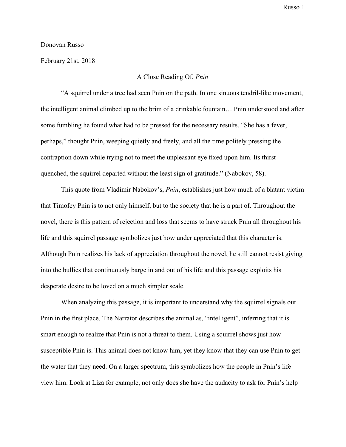Russo 1

## Donovan Russo

February 21st, 2018

A Close Reading Of, *Pnin*

"A squirrel under a tree had seen Pnin on the path. In one sinuous tendril-like movement, the intelligent animal climbed up to the brim of a drinkable fountain… Pnin understood and after some fumbling he found what had to be pressed for the necessary results. "She has a fever, perhaps," thought Pnin, weeping quietly and freely, and all the time politely pressing the contraption down while trying not to meet the unpleasant eye fixed upon him. Its thirst quenched, the squirrel departed without the least sign of gratitude." (Nabokov, 58).

This quote from Vladimir Nabokov's, *Pnin*, establishes just how much of a blatant victim that Timofey Pnin is to not only himself, but to the society that he is a part of. Throughout the novel, there is this pattern of rejection and loss that seems to have struck Pnin all throughout his life and this squirrel passage symbolizes just how under appreciated that this character is. Although Pnin realizes his lack of appreciation throughout the novel, he still cannot resist giving into the bullies that continuously barge in and out of his life and this passage exploits his desperate desire to be loved on a much simpler scale.

When analyzing this passage, it is important to understand why the squirrel signals out Pnin in the first place. The Narrator describes the animal as, "intelligent", inferring that it is smart enough to realize that Pnin is not a threat to them. Using a squirrel shows just how susceptible Pnin is. This animal does not know him, yet they know that they can use Pnin to get the water that they need. On a larger spectrum, this symbolizes how the people in Pnin's life view him. Look at Liza for example, not only does she have the audacity to ask for Pnin's help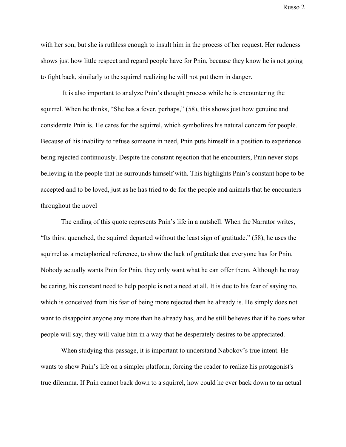Russo 2

with her son, but she is ruthless enough to insult him in the process of her request. Her rudeness shows just how little respect and regard people have for Pnin, because they know he is not going to fight back, similarly to the squirrel realizing he will not put them in danger.

 It is also important to analyze Pnin's thought process while he is encountering the squirrel. When he thinks, "She has a fever, perhaps," (58), this shows just how genuine and considerate Pnin is. He cares for the squirrel, which symbolizes his natural concern for people. Because of his inability to refuse someone in need, Pnin puts himself in a position to experience being rejected continuously. Despite the constant rejection that he encounters, Pnin never stops believing in the people that he surrounds himself with. This highlights Pnin's constant hope to be accepted and to be loved, just as he has tried to do for the people and animals that he encounters throughout the novel

The ending of this quote represents Pnin's life in a nutshell. When the Narrator writes, "Its thirst quenched, the squirrel departed without the least sign of gratitude." (58), he uses the squirrel as a metaphorical reference, to show the lack of gratitude that everyone has for Pnin. Nobody actually wants Pnin for Pnin, they only want what he can offer them. Although he may be caring, his constant need to help people is not a need at all. It is due to his fear of saying no, which is conceived from his fear of being more rejected then he already is. He simply does not want to disappoint anyone any more than he already has, and he still believes that if he does what people will say, they will value him in a way that he desperately desires to be appreciated.

When studying this passage, it is important to understand Nabokov's true intent. He wants to show Pnin's life on a simpler platform, forcing the reader to realize his protagonist's true dilemma. If Pnin cannot back down to a squirrel, how could he ever back down to an actual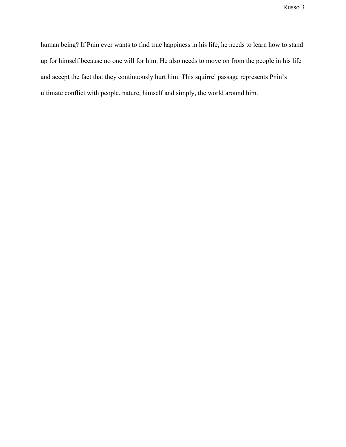Russo 3

human being? If Pnin ever wants to find true happiness in his life, he needs to learn how to stand up for himself because no one will for him. He also needs to move on from the people in his life and accept the fact that they continuously hurt him. This squirrel passage represents Pnin's ultimate conflict with people, nature, himself and simply, the world around him.